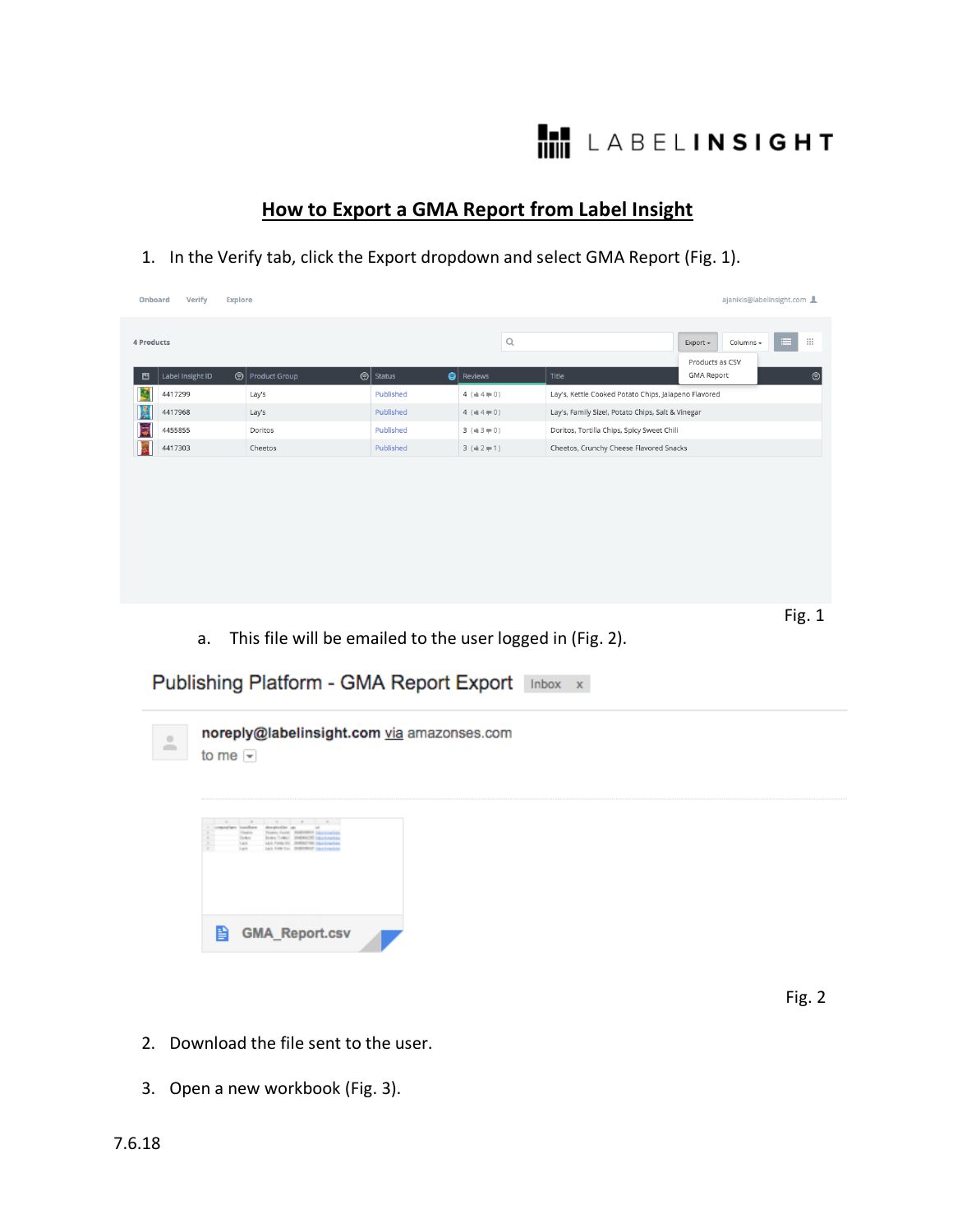

## **How to Export a GMA Report from Label Insight**

1. In the Verify tab, click the Export dropdown and select GMA Report (Fig. 1).

|                   | Onboard               | <b>Verify</b> | <b>Explore</b> |                        |                        |              |                                                   |                                                      |                                          | ajanikis@labelinsight.com |                       |
|-------------------|-----------------------|---------------|----------------|------------------------|------------------------|--------------|---------------------------------------------------|------------------------------------------------------|------------------------------------------|---------------------------|-----------------------|
| <b>4 Products</b> |                       |               |                |                        |                        | $\alpha$     |                                                   |                                                      | Columns -<br>Export -<br>Products as CSV | $\equiv$                  | $\mathop{\mathbb{H}}$ |
|                   | Label Insight ID<br>图 |               |                | <b>⊜</b> Product Group | $\bigcirc$ Status<br>A | Reviews      |                                                   | <b>Title</b>                                         | <b>GMA Report</b>                        |                           | ⊜                     |
|                   | 4417299               |               |                | Lay's                  | Published              | $4 (+40)$    |                                                   | Lay's, Kettle Cooked Potato Chips, Jalapeno Flavored |                                          |                           |                       |
|                   | <b>P</b><br>4417968   |               |                | Lay's                  | Published              | 4 (4040)     | Lay's, Family Size!, Potato Chips, Salt & Vinegar |                                                      |                                          |                           |                       |
|                   | 4455855               |               | Doritos        |                        | Published              | $3(483 + 0)$ | Doritos, Tortilla Chips, Spicy Sweet Chili        |                                                      |                                          |                           |                       |
|                   | 4417303               |               |                | Cheetos                | Published              | $3 (42 + 1)$ |                                                   | Cheetos, Crunchy Cheese Flavored Snacks              |                                          |                           |                       |
|                   |                       |               |                |                        |                        |              |                                                   |                                                      |                                          |                           |                       |

Fig. 1

a. This file will be emailed to the user logged in (Fig. 2).



Fig. 2

2. Download the file sent to the user.

GMA\_Report.csv

3. Open a new workbook (Fig. 3).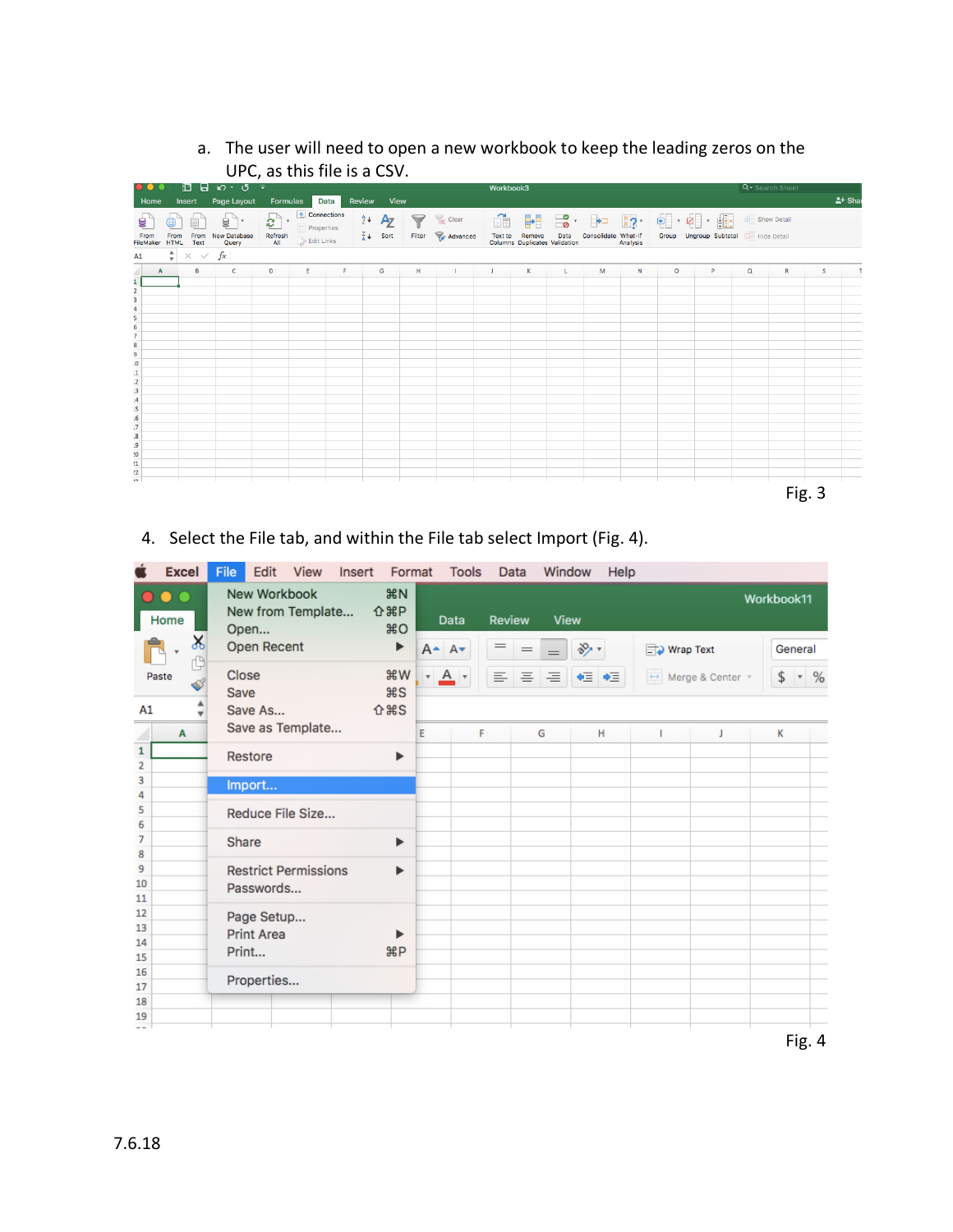a. The user will need to open a new workbook to keep the leading zeros on the UPC, as this file is a CSV.

| $\bullet$ $\bullet$ |                                                                                                            | $\Box$ $\Box$ $\Box$ $\lor$ $\Diamond$ $\Rightarrow$                   |                      |                              |             |             |                                                                                                                                                                                                                               | Workbook3 |  |                                                                                   |   |         |                                              | Q - Search Sheet |           |           |
|---------------------|------------------------------------------------------------------------------------------------------------|------------------------------------------------------------------------|----------------------|------------------------------|-------------|-------------|-------------------------------------------------------------------------------------------------------------------------------------------------------------------------------------------------------------------------------|-----------|--|-----------------------------------------------------------------------------------|---|---------|----------------------------------------------|------------------|-----------|-----------|
| Home                | Insert                                                                                                     | Page Layout                                                            | <b>Formulas</b> Data |                              | Review      | <b>View</b> |                                                                                                                                                                                                                               |           |  |                                                                                   |   |         |                                              |                  |           | $2+$ Shar |
| ė.                  | . 한<br>⊕                                                                                                   | $\bigcirc$<br>From From From New Database<br>FileMaker HTML Text Query |                      | <b>Refresh De Edit Links</b> |             |             |                                                                                                                                                                                                                               | i di      |  | Text to Remove Data Consolidate What-If<br>Columns Duplicates Validation Analysis |   |         | Group Ungroup Subtotal <b>DE</b> Hide Detail |                  |           |           |
| A1                  | $\frac{\mathsf{A}}{\mathsf{v}} \, \begin{bmatrix} \times & \swarrow & \mathsf{f} \mathsf{x} \end{bmatrix}$ |                                                                        |                      |                              |             |             |                                                                                                                                                                                                                               |           |  |                                                                                   |   |         |                                              |                  |           |           |
| A                   | B                                                                                                          | $\overline{c}$                                                         | $\overline{D}$       |                              | $E$ $F$ $G$ |             | $H$ and $I$ and $I$ and $I$ and $I$ and $I$ and $I$ and $I$ and $I$ and $I$ and $I$ and $I$ and $I$ and $I$ and $I$ and $I$ and $I$ and $I$ and $I$ and $I$ and $I$ and $I$ and $I$ and $I$ and $I$ and $I$ and $I$ and $I$ a |           |  |                                                                                   | N | $\circ$ | P                                            |                  | $Q$ R S T |           |
|                     |                                                                                                            |                                                                        |                      |                              |             |             |                                                                                                                                                                                                                               |           |  |                                                                                   |   |         |                                              |                  |           |           |
|                     |                                                                                                            |                                                                        |                      |                              |             |             |                                                                                                                                                                                                                               |           |  |                                                                                   |   |         |                                              |                  |           |           |
|                     |                                                                                                            |                                                                        |                      |                              |             |             |                                                                                                                                                                                                                               |           |  |                                                                                   |   |         |                                              |                  |           |           |
|                     |                                                                                                            |                                                                        |                      |                              |             |             |                                                                                                                                                                                                                               |           |  |                                                                                   |   |         |                                              |                  |           |           |
|                     |                                                                                                            |                                                                        |                      |                              |             |             |                                                                                                                                                                                                                               |           |  |                                                                                   |   |         |                                              |                  |           |           |
|                     |                                                                                                            |                                                                        |                      |                              |             |             |                                                                                                                                                                                                                               |           |  |                                                                                   |   |         |                                              |                  |           |           |
|                     |                                                                                                            |                                                                        |                      |                              |             |             |                                                                                                                                                                                                                               |           |  |                                                                                   |   |         |                                              |                  |           |           |
|                     |                                                                                                            |                                                                        |                      |                              |             |             |                                                                                                                                                                                                                               |           |  |                                                                                   |   |         |                                              |                  |           |           |
|                     |                                                                                                            |                                                                        |                      |                              |             |             |                                                                                                                                                                                                                               |           |  |                                                                                   |   |         |                                              |                  |           |           |
|                     |                                                                                                            |                                                                        |                      |                              |             |             |                                                                                                                                                                                                                               |           |  |                                                                                   |   |         |                                              |                  |           |           |
|                     |                                                                                                            |                                                                        |                      |                              |             |             |                                                                                                                                                                                                                               |           |  |                                                                                   |   |         |                                              |                  |           |           |
|                     |                                                                                                            |                                                                        |                      |                              |             |             |                                                                                                                                                                                                                               |           |  |                                                                                   |   |         |                                              |                  |           |           |
|                     |                                                                                                            |                                                                        |                      |                              |             |             |                                                                                                                                                                                                                               |           |  |                                                                                   |   |         |                                              |                  |           |           |
|                     |                                                                                                            |                                                                        |                      |                              |             |             |                                                                                                                                                                                                                               |           |  |                                                                                   |   |         |                                              |                  |           |           |
|                     |                                                                                                            |                                                                        |                      |                              |             |             |                                                                                                                                                                                                                               |           |  |                                                                                   |   |         |                                              |                  |           |           |
|                     |                                                                                                            |                                                                        |                      |                              |             |             |                                                                                                                                                                                                                               |           |  |                                                                                   |   |         |                                              |                  |           |           |
|                     |                                                                                                            |                                                                        |                      |                              |             |             |                                                                                                                                                                                                                               |           |  |                                                                                   |   |         |                                              |                  |           |           |
|                     |                                                                                                            |                                                                        |                      |                              |             |             |                                                                                                                                                                                                                               |           |  |                                                                                   |   |         |                                              |                  |           |           |
|                     |                                                                                                            |                                                                        |                      |                              |             |             |                                                                                                                                                                                                                               |           |  |                                                                                   |   |         |                                              |                  |           |           |
|                     |                                                                                                            |                                                                        |                      |                              |             |             |                                                                                                                                                                                                                               |           |  |                                                                                   |   |         |                                              |                  |           |           |
| 55 <sup>2</sup>     |                                                                                                            |                                                                        |                      |                              |             |             |                                                                                                                                                                                                                               |           |  |                                                                                   |   |         |                                              |                  |           |           |
|                     |                                                                                                            |                                                                        |                      |                              |             |             |                                                                                                                                                                                                                               |           |  |                                                                                   |   |         |                                              |                  | Fig. 3    |           |

4. Select the File tab, and within the File tab select Import (Fig. 4).

| <b>Excel</b>                   | Edit<br>View<br>File<br>Insert            | Format                               |                   | <b>Tools</b> | Data          |                                     | Window      |               | Help |             |                  |                      |       |
|--------------------------------|-------------------------------------------|--------------------------------------|-------------------|--------------|---------------|-------------------------------------|-------------|---------------|------|-------------|------------------|----------------------|-------|
| Home                           | New Workbook<br>New from Template<br>Open | <b>第N</b><br><b>介出P</b><br><b>HO</b> |                   | <b>Data</b>  | <b>Review</b> |                                     | <b>View</b> |               |      |             |                  | Workbook11           |       |
| X<br>$\overline{\mathbf{v}}$   | <b>Open Recent</b>                        | ▶                                    | $A - A$           |              | $=$           | $\hspace*{0.4em} = \hspace*{0.4em}$ | $=$         | $\frac{1}{2}$ |      | → Wrap Text |                  | General              |       |
| ¢<br>Paste                     | Close<br>Save                             | <b>HRW</b><br><b>HS</b>              | $\cdot$ A $\cdot$ |              | $\equiv$      | 亖                                   | 들           | 恒恒            |      |             | Merge & Center v | \$                   | $-$ % |
| A1                             | Save As                                   | 0#S                                  |                   |              |               |                                     |             |               |      |             |                  |                      |       |
| A                              | Save as Template                          |                                      | E                 |              | F             | G                                   |             | н             |      |             | J                | Κ                    |       |
| $\mathbf{1}$<br>$\overline{2}$ | <b>Restore</b>                            | ▶                                    |                   |              |               |                                     |             |               |      |             |                  |                      |       |
| 3<br>4                         | Import                                    |                                      |                   |              |               |                                     |             |               |      |             |                  |                      |       |
| 5<br>6                         | Reduce File Size                          |                                      |                   |              |               |                                     |             |               |      |             |                  |                      |       |
| $\overline{7}$<br>8            | Share                                     | $\blacktriangleright$                |                   |              |               |                                     |             |               |      |             |                  |                      |       |
| 9<br>10<br>11                  | <b>Restrict Permissions</b><br>Passwords  | ▶                                    |                   |              |               |                                     |             |               |      |             |                  |                      |       |
| 12<br>13                       | Page Setup<br><b>Print Area</b>           | ▶                                    |                   |              |               |                                     |             |               |      |             |                  |                      |       |
| 14<br>15                       | Print                                     | <b>第P</b>                            |                   |              |               |                                     |             |               |      |             |                  |                      |       |
| 16<br>17                       | Properties                                |                                      |                   |              |               |                                     |             |               |      |             |                  |                      |       |
| 18<br>19<br>$\sim$             |                                           |                                      |                   |              |               |                                     |             |               |      |             |                  |                      |       |
|                                |                                           |                                      |                   |              |               |                                     |             |               |      |             |                  | $\Gamma$ : $\Lambda$ |       |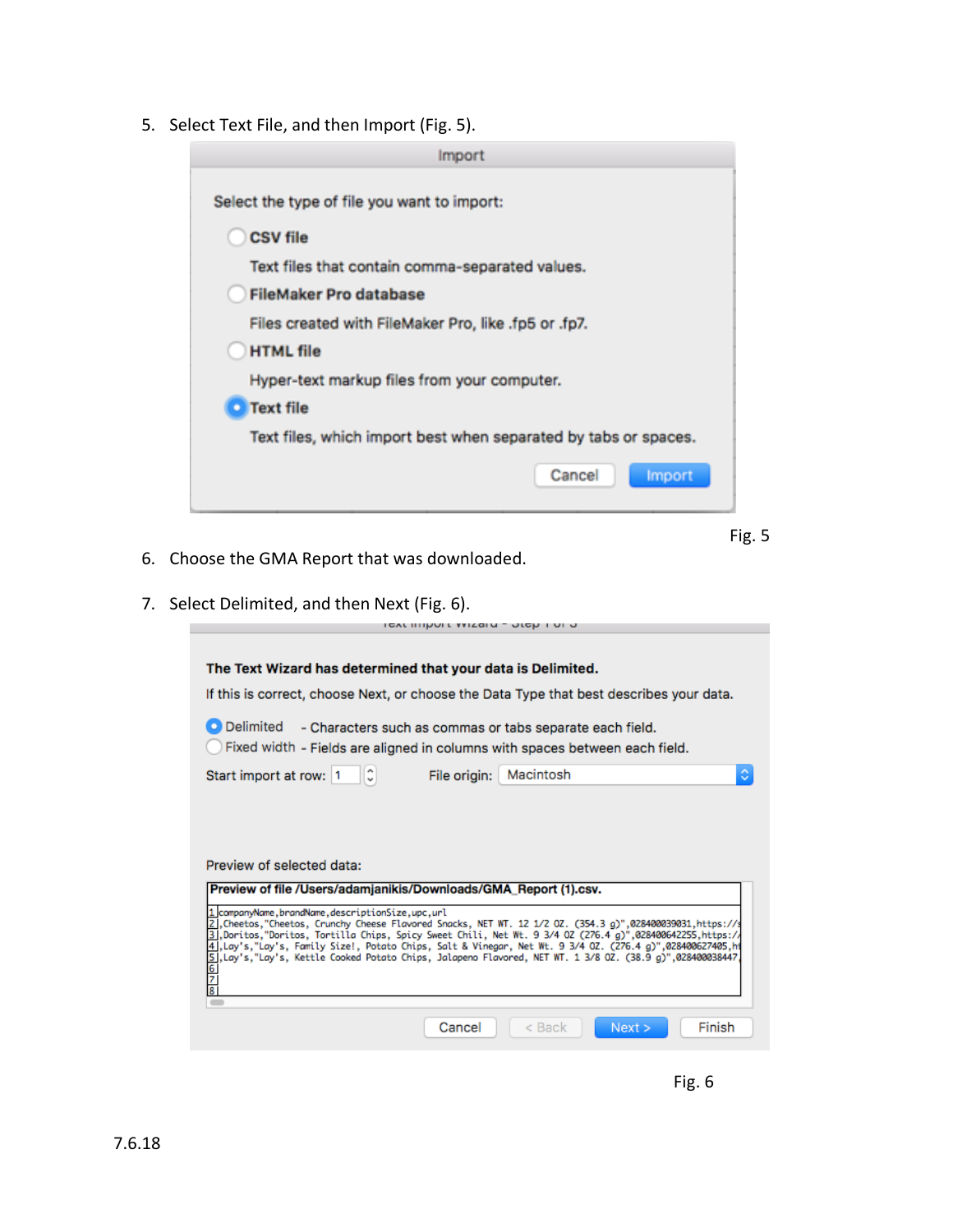5. Select Text File, and then Import (Fig. 5).

| Import                                                          |
|-----------------------------------------------------------------|
| Select the type of file you want to import:                     |
| <b>CSV file</b>                                                 |
| Text files that contain comma-separated values.                 |
| <b>FileMaker Pro database</b>                                   |
| Files created with FileMaker Pro, like .fp5 or .fp7.            |
| <b>HTML</b> file                                                |
| Hyper-text markup files from your computer.                     |
| Text file                                                       |
| Text files, which import best when separated by tabs or spaces. |
| Cancel<br>Import                                                |
|                                                                 |

Fig. 5

- 6. Choose the GMA Report that was downloaded.
- 7. Select Delimited, and then Next (Fig. 6).

|                                                                                               | ICYFIIIMAI FAIRGIA - AICH I AI A                                                                                                                                                                                                                                                                                                                                                                                                                                |
|-----------------------------------------------------------------------------------------------|-----------------------------------------------------------------------------------------------------------------------------------------------------------------------------------------------------------------------------------------------------------------------------------------------------------------------------------------------------------------------------------------------------------------------------------------------------------------|
| The Text Wizard has determined that your data is Delimited.                                   |                                                                                                                                                                                                                                                                                                                                                                                                                                                                 |
|                                                                                               | If this is correct, choose Next, or choose the Data Type that best describes your data.                                                                                                                                                                                                                                                                                                                                                                         |
|                                                                                               |                                                                                                                                                                                                                                                                                                                                                                                                                                                                 |
| Delimited                                                                                     | - Characters such as commas or tabs separate each field.                                                                                                                                                                                                                                                                                                                                                                                                        |
| Fixed width - Fields are aligned in columns with spaces between each field.                   |                                                                                                                                                                                                                                                                                                                                                                                                                                                                 |
| ્<br>Start import at row: 1                                                                   | Macintosh<br>٥<br>File origin:                                                                                                                                                                                                                                                                                                                                                                                                                                  |
|                                                                                               |                                                                                                                                                                                                                                                                                                                                                                                                                                                                 |
|                                                                                               |                                                                                                                                                                                                                                                                                                                                                                                                                                                                 |
| Preview of selected data:<br>Preview of file /Users/adamjanikis/Downloads/GMA Report (1).csv. |                                                                                                                                                                                                                                                                                                                                                                                                                                                                 |
| 1 companyName.brandName.descriptionSize.upc.url                                               | 21. Cheetos, "Cheetos, Crunchy Cheese Flavored Snacks, NET WT. 12 1/2 02. (354.3 g)", 028400039031, https://s<br>3],Doritos,"Doritos, Tortilla Chips, Spicy Sweet Chili, Net Wt. 9 3/4 0Z (276.4 g)",028400642255,https://<br>4).Lay's."Lay's, Family Size!, Potato Chips, Salt & Vinegar, Net Wt. 9 3/4 0Z. (276.4 g)".028400627405.ht<br>5),Lay's, "Lay's, Kettle Cooked Potato Chips, Jalapeno Flavored, NET WT. 1 3/8 02. (38.9 g)",028400038447,<br>6<br>7 |
|                                                                                               |                                                                                                                                                                                                                                                                                                                                                                                                                                                                 |

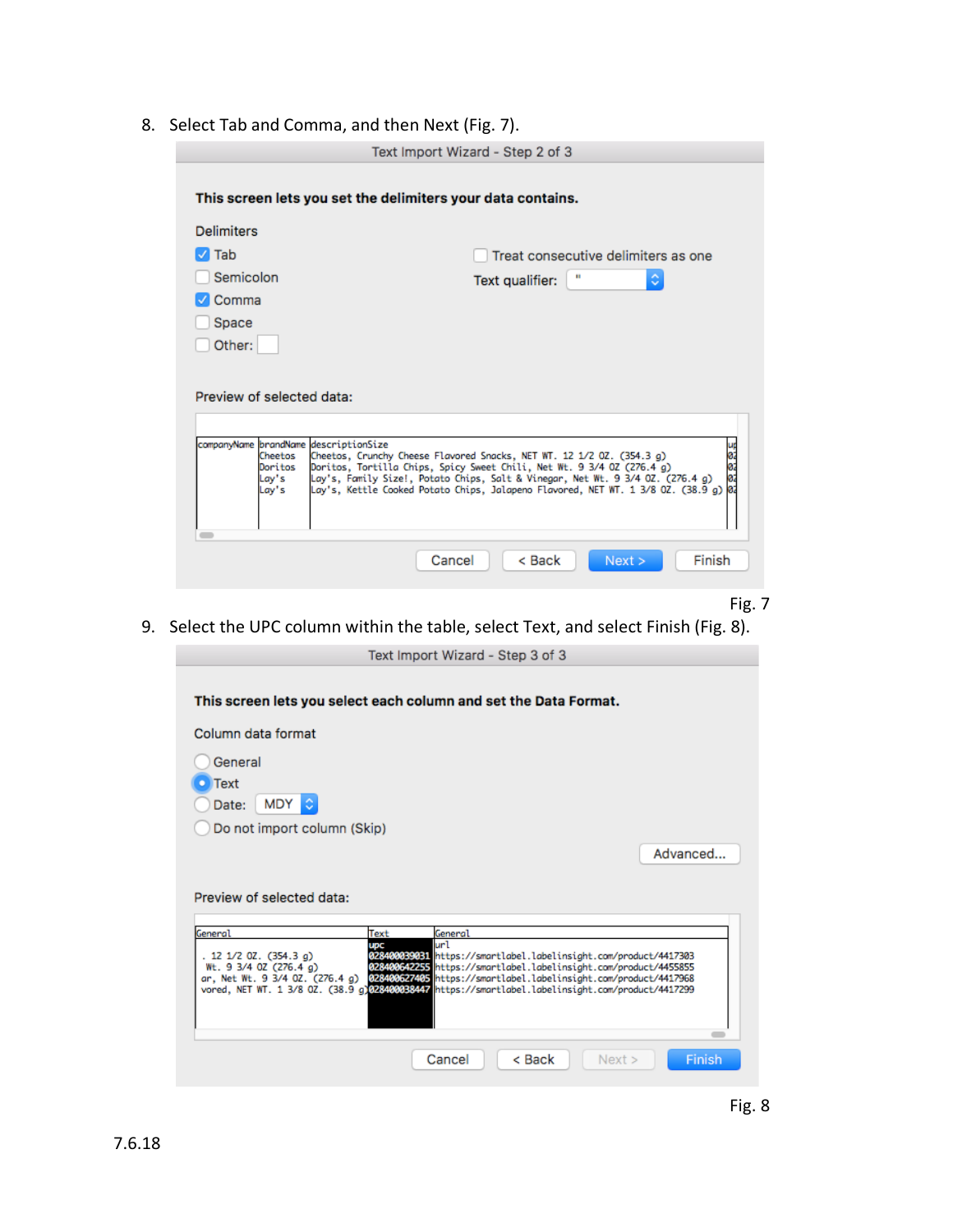8. Select Tab and Comma, and then Next (Fig. 7).

| Text Import Wizard - Step 2 of 3                                              |                                                                                                                                                                                                                                                                                                                                       |  |  |  |  |  |  |  |  |  |
|-------------------------------------------------------------------------------|---------------------------------------------------------------------------------------------------------------------------------------------------------------------------------------------------------------------------------------------------------------------------------------------------------------------------------------|--|--|--|--|--|--|--|--|--|
| This screen lets you set the delimiters your data contains.                   |                                                                                                                                                                                                                                                                                                                                       |  |  |  |  |  |  |  |  |  |
| Delimiters                                                                    |                                                                                                                                                                                                                                                                                                                                       |  |  |  |  |  |  |  |  |  |
| $\vee$ Tab                                                                    | Treat consecutive delimiters as one                                                                                                                                                                                                                                                                                                   |  |  |  |  |  |  |  |  |  |
| Semicolon                                                                     | ٥<br>Text qualifier:                                                                                                                                                                                                                                                                                                                  |  |  |  |  |  |  |  |  |  |
| √ Comma                                                                       |                                                                                                                                                                                                                                                                                                                                       |  |  |  |  |  |  |  |  |  |
| Space                                                                         |                                                                                                                                                                                                                                                                                                                                       |  |  |  |  |  |  |  |  |  |
| Other:                                                                        |                                                                                                                                                                                                                                                                                                                                       |  |  |  |  |  |  |  |  |  |
|                                                                               |                                                                                                                                                                                                                                                                                                                                       |  |  |  |  |  |  |  |  |  |
| Preview of selected data:                                                     |                                                                                                                                                                                                                                                                                                                                       |  |  |  |  |  |  |  |  |  |
|                                                                               |                                                                                                                                                                                                                                                                                                                                       |  |  |  |  |  |  |  |  |  |
| companyName brandName descriptionSize<br>Cheetos<br>Doritos<br>Lav's<br>Lay's | ର<br>ରାଷ୍ଟ୍ର<br>Cheetos, Crunchy Cheese Flavored Snacks, NET WT. 12 1/2 0Z. (354.3 g)<br>Doritos, Tortilla Chips, Spicy Sweet Chili, Net Wt. 9 3/4 OZ (276.4 q)<br>Lay's, Family Size!, Potato Chips, Salt & Vinegar, Net Wt. 9 3/4 0Z. (276.4 g)<br>Lay's, Kettle Cooked Potato Chips, Jalapeno Flavored, NET WT. 1 3/8 0Z. (38.9 q) |  |  |  |  |  |  |  |  |  |
|                                                                               | Finish<br>< Back<br>Next<br>Cancel                                                                                                                                                                                                                                                                                                    |  |  |  |  |  |  |  |  |  |
|                                                                               | Fig. 7                                                                                                                                                                                                                                                                                                                                |  |  |  |  |  |  |  |  |  |

9. Select the UPC column within the table, select Text, and select Finish (Fig. 8).

| Text Import Wizard - Step 3 of 3                                                                                                                                                                                                                                                                                                                                                                                                                                                       |          |  |  |  |  |  |  |  |
|----------------------------------------------------------------------------------------------------------------------------------------------------------------------------------------------------------------------------------------------------------------------------------------------------------------------------------------------------------------------------------------------------------------------------------------------------------------------------------------|----------|--|--|--|--|--|--|--|
| This screen lets you select each column and set the Data Format.                                                                                                                                                                                                                                                                                                                                                                                                                       |          |  |  |  |  |  |  |  |
| Column data format                                                                                                                                                                                                                                                                                                                                                                                                                                                                     |          |  |  |  |  |  |  |  |
| General<br>Text<br>MDY $\Diamond$<br>Date:<br>Do not import column (Skip)                                                                                                                                                                                                                                                                                                                                                                                                              |          |  |  |  |  |  |  |  |
|                                                                                                                                                                                                                                                                                                                                                                                                                                                                                        | Advanced |  |  |  |  |  |  |  |
| Preview of selected data:<br>General<br>Text<br>General<br>url<br><b>upc</b><br>028400039031 https://smartlabel.labelinsight.com/product/4417303<br>$. 12$ 1/2 0Z. (354.3 g)<br>028400642255 https://smartlabel.labelinsight.com/product/4455855<br>Wt. 9 3/4 0Z (276.4 g)<br>028400627405 https://smartlabel.labelinsight.com/product/4417968<br>ar, Net Wt. 9 3/4 0Z. (276.4 g)<br>vored, NET WT. 1 3/8 0Z. (38.9 q) 22400033447 https://smartlabel.labelinsiaht.com/product/4417299 |          |  |  |  |  |  |  |  |
| Cancel<br>< Back<br>Next                                                                                                                                                                                                                                                                                                                                                                                                                                                               | Finish   |  |  |  |  |  |  |  |